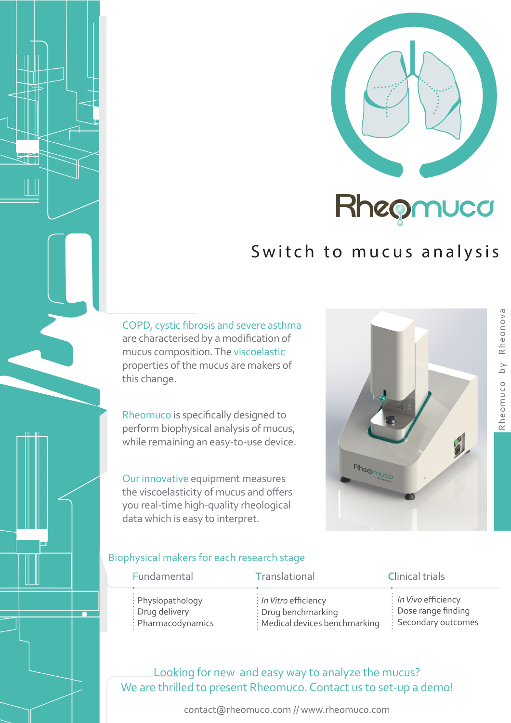

# Switch to mucus analysis

COPD, cystic fibrosis and severe asthma are characterised by a modification of mucus composition. The viscoelastic properties of the mucus are makers of this change.

Rheomuco is specifically designed to perform biophysical analysis of mucus, while remaining an easy-to-use device.

Our innovative equipment measures the viscoelasticity of mucus and offers you real-time high-quality rheological data which is easy to interpret.



#### Biophysical makers for each research stage

| Fundamental                  | Translational                                | <b>Clinical trials</b>           |
|------------------------------|----------------------------------------------|----------------------------------|
| $\therefore$ Physiopathology | $\frac{1}{2}$ In Vitro efficiency            | $\frac{1}{2}$ In Vivo efficiency |
| : Drug delivery              | : Drug benchmarking                          | $\frac{1}{2}$ Dose range finding |
| : Pharmacodynamics           | $\frac{1}{2}$ : Medical devices benchmarking | : Secondary outcomes             |

# Looking for new and easy way to analyze the mucus? We are thrilled to present Rheomuco. Contact us to set-up a demo!

contact@rheomuco.com // www.rheomuco.com